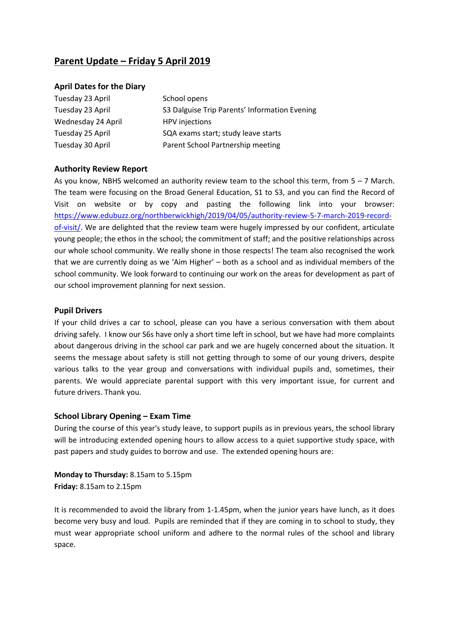# **Parent Update – Friday 5 April 2019**

#### **April Dates for the Diary**

| Tuesday 23 April   | School opens                                  |
|--------------------|-----------------------------------------------|
| Tuesday 23 April   | S3 Dalguise Trip Parents' Information Evening |
| Wednesday 24 April | <b>HPV</b> injections                         |
| Tuesday 25 April   | SQA exams start; study leave starts           |
| Tuesday 30 April   | Parent School Partnership meeting             |

## **Authority Review Report**

As you know, NBHS welcomed an authority review team to the school this term, from  $5 - 7$  March. The team were focusing on the Broad General Education, S1 to S3, and you can find the Record of Visit on website or by copy and pasting the following link into your browser: [https://www.edubuzz.org/northberwickhigh/2019/04/05/authority-review-5-7-march-2019-record](https://www.edubuzz.org/northberwickhigh/2019/04/05/authority-review-5-7-march-2019-record-of-visit/)[of-visit/.](https://www.edubuzz.org/northberwickhigh/2019/04/05/authority-review-5-7-march-2019-record-of-visit/) We are delighted that the review team were hugely impressed by our confident, articulate young people; the ethos in the school; the commitment of staff; and the positive relationships across our whole school community. We really shone in those respects! The team also recognised the work that we are currently doing as we 'Aim Higher' – both as a school and as individual members of the school community. We look forward to continuing our work on the areas for development as part of our school improvement planning for next session.

## **Pupil Drivers**

If your child drives a car to school, please can you have a serious conversation with them about driving safely. I know our S6s have only a short time left in school, but we have had more complaints about dangerous driving in the school car park and we are hugely concerned about the situation. It seems the message about safety is still not getting through to some of our young drivers, despite various talks to the year group and conversations with individual pupils and, sometimes, their parents. We would appreciate parental support with this very important issue, for current and future drivers. Thank you.

#### **School Library Opening – Exam Time**

During the course of this year's study leave, to support pupils as in previous years, the school library will be introducing extended opening hours to allow access to a quiet supportive study space, with past papers and study guides to borrow and use. The extended opening hours are:

**Monday to Thursday:** 8.15am to 5.15pm **Friday:** 8.15am to 2.15pm

It is recommended to avoid the library from 1-1.45pm, when the junior years have lunch, as it does become very busy and loud. Pupils are reminded that if they are coming in to school to study, they must wear appropriate school uniform and adhere to the normal rules of the school and library space.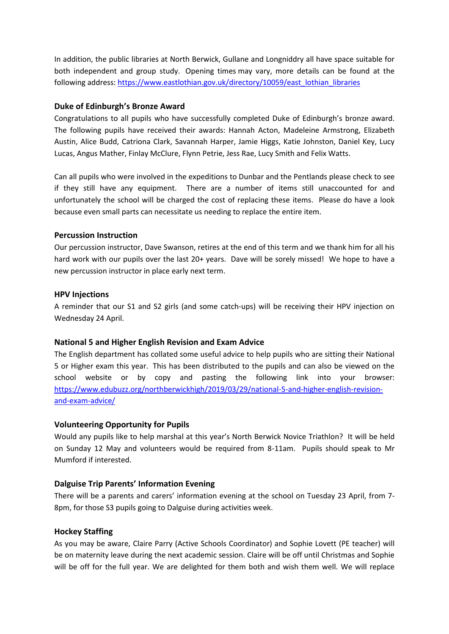In addition, the public libraries at North Berwick, Gullane and Longniddry all have space suitable for both independent and group study. Opening times may vary, more details can be found at the following address: [https://www.eastlothian.gov.uk/directory/10059/east\\_lothian\\_libraries](https://www.eastlothian.gov.uk/directory/10059/east_lothian_libraries)

## **Duke of Edinburgh's Bronze Award**

Congratulations to all pupils who have successfully completed Duke of Edinburgh's bronze award. The following pupils have received their awards: Hannah Acton, Madeleine Armstrong, Elizabeth Austin, Alice Budd, Catriona Clark, Savannah Harper, Jamie Higgs, Katie Johnston, Daniel Key, Lucy Lucas, Angus Mather, Finlay McClure, Flynn Petrie, Jess Rae, Lucy Smith and Felix Watts.

Can all pupils who were involved in the expeditions to Dunbar and the Pentlands please check to see if they still have any equipment. There are a number of items still unaccounted for and unfortunately the school will be charged the cost of replacing these items. Please do have a look because even small parts can necessitate us needing to replace the entire item.

## **Percussion Instruction**

Our percussion instructor, Dave Swanson, retires at the end of this term and we thank him for all his hard work with our pupils over the last 20+ years. Dave will be sorely missed! We hope to have a new percussion instructor in place early next term.

## **HPV Injections**

A reminder that our S1 and S2 girls (and some catch-ups) will be receiving their HPV injection on Wednesday 24 April.

# **National 5 and Higher English Revision and Exam Advice**

The English department has collated some useful advice to help pupils who are sitting their National 5 or Higher exam this year. This has been distributed to the pupils and can also be viewed on the school website or by copy and pasting the following link into your browser: [https://www.edubuzz.org/northberwickhigh/2019/03/29/national-5-and-higher-english-revision](https://www.edubuzz.org/northberwickhigh/2019/03/29/national-5-and-higher-english-revision-and-exam-advice/)[and-exam-advice/](https://www.edubuzz.org/northberwickhigh/2019/03/29/national-5-and-higher-english-revision-and-exam-advice/)

# **Volunteering Opportunity for Pupils**

Would any pupils like to help marshal at this year's North Berwick Novice Triathlon? It will be held on Sunday 12 May and volunteers would be required from 8-11am. Pupils should speak to Mr Mumford if interested.

# **Dalguise Trip Parents' Information Evening**

There will be a parents and carers' information evening at the school on Tuesday 23 April, from 7- 8pm, for those S3 pupils going to Dalguise during activities week.

# **Hockey Staffing**

As you may be aware, Claire Parry (Active Schools Coordinator) and Sophie Lovett (PE teacher) will be on maternity leave during the next academic session. Claire will be off until Christmas and Sophie will be off for the full year. We are delighted for them both and wish them well. We will replace